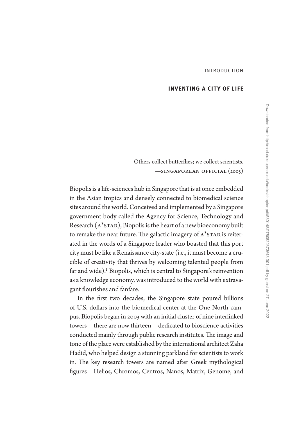#### INTRODUCTION

### **[INVENTING A CITY OF LIFE](#page--1-0)**

Others collect butterflies; we collect scientists. —Singaporean official (2005)

Biopolis is a life-sciences hub in Singapore that is at once embedded in the Asian tropics and densely connected to biomedical science sites around the world. Conceived and implemented by a Singapore government body called the Agency for Science, Technology and Research (a\*star), Biopolis is the heart of a new bioeconomy built to remake the near future. The galactic imagery of  $A^*$ STAR is reiterated in the words of a Singapore leader who boasted that this port city must be like a Renaissance city-state (i.e., it must become a crucible of creativity that thrives by welcoming talented people from far and wide).<sup>1</sup> Biopolis, which is central to Singapore's reinvention as a knowledge economy, was introduced to the world with extravagant flourishes and fanfare.

In the first two decades, the Singapore state poured billions of U.S. dollars into the biomedical center at the One North campus. Biopolis began in 2003 with an initial cluster of nine interlinked towers—there are now thirteen—dedicated to bioscience activities conducted mainly through public research institutes. The image and tone of the place were established by the international architect Zaha Hadid, who helped design a stunning parkland for scientists to work in. The key research towers are named after Greek mythological figures—Helios, Chromos, Centros, Nanos, Matrix, Genome, and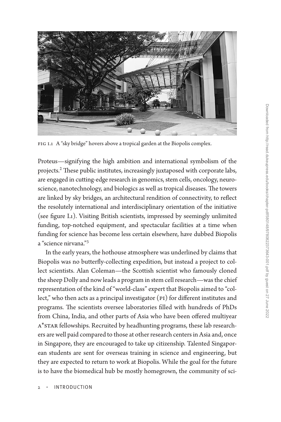

FIG I.1 A "sky bridge" hovers above a tropical garden at the Biopolis complex.

Proteus—signifying the high ambition and international symbolism of the projects.[2](#page--1-0) These public institutes, increasingly juxtaposed with corporate labs, are engaged in cutting-edge research in genomics, stem cells, oncology, neuroscience, nanotechnology, and biologics as well as tropical diseases. The towers are linked by sky bridges, an architectural rendition of connectivity, to reflect the resolutely international and interdisciplinary orientation of the initiative (see figure I.1). Visiting British scientists, impressed by seemingly unlimited funding, top-notched equipment, and spectacular facilities at a time when funding for science has become less certain elsewhere, have dubbed Biopolis a "science nirvana.["3](#page--1-0)

In the early years, the hothouse atmosphere was underlined by claims that Biopolis was no butterfly-collecting expedition, but instead a project to collect scientists. Alan Coleman—the Scottish scientist who famously cloned the sheep Dolly and now leads a program in stem cell research—was the chief representation of the kind of "world-class" expert that Biopolis aimed to "collect," who then acts as a principal investigator (pi) for diferent institutes and programs. The scientists oversee laboratories filled with hundreds of PhDs from China, India, and other parts of Asia who have been offered multiyear a\*star fellowships. Recruited by headhunting programs, these lab researchers are well paid compared to those at other research centers in Asia and, once in Singapore, they are encouraged to take up citizenship. Talented Singaporean students are sent for overseas training in science and engineering, but they are expected to return to work at Biopolis. While the goal for the future is to have the biomedical hub be mostly homegrown, the community of sci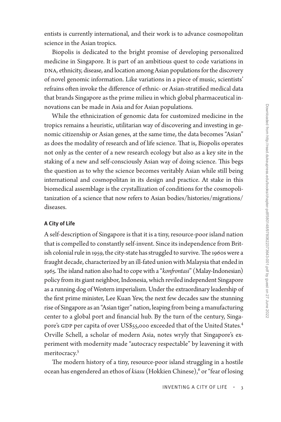entists is currently international, and their work is to advance cosmopolitan science in the Asian tropics.

Biopolis is dedicated to the bright promise of developing personalized medicine in Singapore. It is part of an ambitious quest to code variations in DNA, ethnicity, disease, and location among Asian populations for the discovery of novel genomic information. Like variations in a piece of music, scientists' refrains often invoke the difference of ethnic- or Asian-stratified medical data that brands Singapore as the prime milieu in which global pharmaceutical innovations can be made in Asia and for Asian populations.

While the ethnicization of genomic data for customized medicine in the tropics remains a heuristic, utilitarian way of discovering and investing in genomic citizenship or Asian genes, at the same time, the data becomes "Asian" as does the modality of research and of life science. That is, Biopolis operates not only as the center of a new research ecology but also as a key site in the staking of a new and self-consciously Asian way of doing science. This begs the question as to why the science becomes veritably Asian while still being international and cosmopolitan in its design and practice. At stake in this biomedical assemblage is the crystallization of conditions for the cosmopolitanization of a science that now refers to Asian bodies/histories/migrations/ diseases.

# **A City of Life**

A self-description of Singapore is that it is a tiny, resource-poor island nation that is compelled to constantly self-invent. Since its independence from British colonial rule in 1959, the city-state has struggled to survive. The 1960s were a fraught decade, characterized by an ill-fated union with Malaysia that ended in 1965. The island nation also had to cope with a "*konfrontasi*" (Malay-Indonesian) policy from its giant neighbor, Indonesia, which reviled independent Singapore as a running dog of Western imperialism. Under the extraordinary leadership of the first prime minister, Lee Kuan Yew, the next few decades saw the stunning rise of Singapore as an "Asian tiger" nation, leaping from being a manufacturing center to a global port and financial hub. By the turn of the century, Singa-pore's GDP per capita of over US\$55,000 exceeded that of the United States.<sup>[4](#page--1-0)</sup> Orville Schell, a scholar of modern Asia, notes wryly that Singapore's experiment with modernity made "autocracy respectable" by leavening it with meritocracy[.5](#page--1-0)

The modern history of a tiny, resource-poor island struggling in a hostile ocean has engendered an ethos of kiasu (Hokkien Chinese),<sup>6</sup> or "fear of losing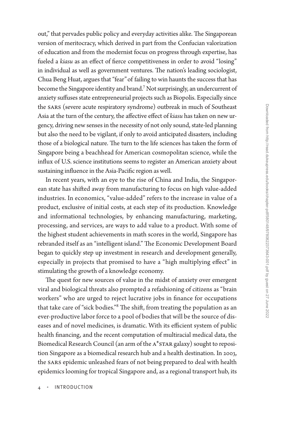out," that pervades public policy and everyday activities alike. The Singaporean version of meritocracy, which derived in part from the Confucian valorization of education and from the modernist focus on progress through expertise, has fueled a *kiasu* as an effect of fierce competitiveness in order to avoid "losing" in individual as well as government ventures. The nation's leading sociologist, Chua Beng Huat, argues that "fear" of failing to win haunts the success that has become the Singapore identity and brand[.7](#page--1-0) Not surprisingly, an undercurrent of anxiety suffuses state entrepreneurial projects such as Biopolis. Especially since the sars (severe acute respiratory syndrome) outbreak in much of Southeast Asia at the turn of the century, the affective effect of *kiasu* has taken on new urgency, driving new senses in the necessity of not only sound, state-led planning but also the need to be vigilant, if only to avoid anticipated disasters, including those of a biological nature. The turn to the life sciences has taken the form of Singapore being a beachhead for American cosmopolitan science, while the influx of U.S. science institutions seems to register an American anxiety about sustaining influence in the Asia-Pacific region as well.

In recent years, with an eye to the rise of China and India, the Singaporean state has shifted away from manufacturing to focus on high value-added industries. In economics, "value-added" refers to the increase in value of a product, exclusive of initial costs, at each step of its production. Knowledge and informational technologies, by enhancing manufacturing, marketing, processing, and services, are ways to add value to a product. With some of the highest student achievements in math scores in the world, Singapore has rebranded itself as an "intelligent island." The Economic Development Board began to quickly step up investment in research and development generally, especially in projects that promised to have a "high multiplying effect" in stimulating the growth of a knowledge economy.

The quest for new sources of value in the midst of anxiety over emergent viral and biological threats also prompted a refashioning of citizens as "brain workers" who are urged to reject lucrative jobs in finance for occupations that take care of "sick bodies."[8](#page--1-0) The shift, from treating the population as an ever-productive labor force to a pool of bodies that will be the source of diseases and of novel medicines, is dramatic. With its efficient system of public health financing, and the recent computation of multiracial medical data, the Biomedical Research Council (an arm of the A\*STAR galaxy) sought to reposition Singapore as a biomedical research hub and a health destination. In 2003, the sars epidemic unleashed fears of not being prepared to deal with health epidemics looming for tropical Singapore and, as a regional transport hub, its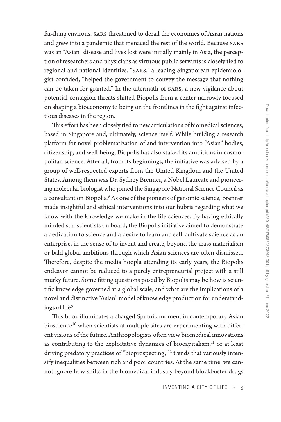far-flung environs. sars threatened to derail the economies of Asian nations and grew into a pandemic that menaced the rest of the world. Because sars was an "Asian" disease and lives lost were initially mainly in Asia, the perception of researchers and physicians as virtuous public servants is closely tied to regional and national identities. "sars," a leading Singaporean epidemiologist confided, "helped the government to convey the message that nothing can be taken for granted." In the aftermath of sars, a new vigilance about potential contagion threats shifted Biopolis from a center narrowly focused on shaping a bioeconomy to being on the frontlines in the fight against infectious diseases in the region.

This effort has been closely tied to new articulations of biomedical sciences, based in Singapore and, ultimately, science itself. While building a research platform for novel problematization of and intervention into "Asian" bodies, citizenship, and well-being, Biopolis has also staked its ambitions in cosmopolitan science. After all, from its beginnings, the initiative was advised by a group of well-respected experts from the United Kingdom and the United States. Among them was Dr. Sydney Brenner, a Nobel Laureate and pioneering molecular biologist who joined the Singapore National Science Council as a consultant on Biopolis.<sup>9</sup> As one of the pioneers of genomic science, Brenner made insightful and ethical interventions into our hubris regarding what we know with the knowledge we make in the life sciences. By having ethically minded star scientists on board, the Biopolis initiative aimed to demonstrate a dedication to science and a desire to learn and self-cultivate science as an enterprise, in the sense of to invent and create, beyond the crass materialism or bald global ambitions through which Asian sciences are often dismissed. Therefore, despite the media hoopla attending its early years, the Biopolis endeavor cannot be reduced to a purely entrepreneurial project with a still murky future. Some fitting questions posed by Biopolis may be how is scientific knowledge governed at a global scale, and what are the implications of a novel and distinctive "Asian" model of knowledge production for understandings of life?

This book illuminates a charged Sputnik moment in contemporary Asian bioscience<sup>[10](#page--1-0)</sup> when scientists at multiple sites are experimenting with different visions of the future. Anthropologists often view biomedical innovations as contributing to the exploitative dynamics of biocapitalism, $11$  or at least driving predatory practices of "bioprospecting,"<sup>[12](#page--1-0)</sup> trends that variously intensify inequalities between rich and poor countries. At the same time, we cannot ignore how shifts in the biomedical industry beyond blockbuster drugs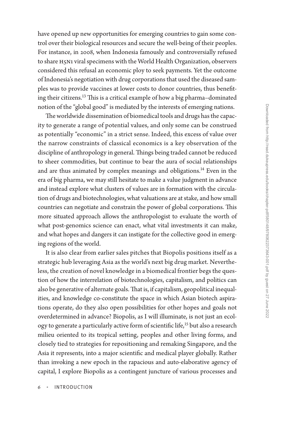have opened up new opportunities for emerging countries to gain some control over their biological resources and secure the well-being of their peoples. For instance, in 2008, when Indonesia famously and controversially refused to share H5N1 viral specimens with the World Health Organization, observers considered this refusal an economic ploy to seek payments. Yet the outcome of Indonesia's negotiation with drug corporations that used the diseased samples was to provide vaccines at lower costs to donor countries, thus benefiting their citizens[.13](#page--1-0) This is a critical example of how a big pharma–dominated notion of the "global good" is mediated by the interests of emerging nations.

The worldwide dissemination of biomedical tools and drugs has the capacity to generate a range of potential values, and only some can be construed as potentially "economic" in a strict sense. Indeed, this excess of value over the narrow constraints of classical economics is a key observation of the discipline of anthropology in general. Things being traded cannot be reduced to sheer commodities, but continue to bear the aura of social relationships and are thus animated by complex meanings and obligations.<sup>14</sup> Even in the era of big pharma, we may still hesitate to make a value judgment in advance and instead explore what clusters of values are in formation with the circulation of drugs and biotechnologies, what valuations are at stake, and how small countries can negotiate and constrain the power of global corporations. This more situated approach allows the anthropologist to evaluate the worth of what post-genomics science can enact, what vital investments it can make, and what hopes and dangers it can instigate for the collective good in emerging regions of the world.

It is also clear from earlier sales pitches that Biopolis positions itself as a strategic hub leveraging Asia as the world's next big drug market. Nevertheless, the creation of novel knowledge in a biomedical frontier begs the question of how the interrelation of biotechnologies, capitalism, and politics can also be generative of alternate goals. That is, if capitalism, geopolitical inequalities, and knowledge co-constitute the space in which Asian biotech aspirations operate, do they also open possibilities for other hopes and goals not overdetermined in advance? Biopolis, as I will illuminate, is not just an ecology to generate a particularly active form of scientific life,<sup>15</sup> but also a research milieu oriented to its tropical setting, peoples and other living forms, and closely tied to strategies for repositioning and remaking Singapore, and the Asia it represents, into a major scientific and medical player globally. Rather than invoking a new epoch in the rapacious and auto-elaborative agency of capital, I explore Biopolis as a contingent juncture of various processes and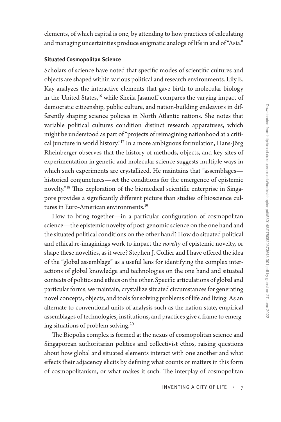elements, of which capital is one, by attending to how practices of calculating and managing uncertainties produce enigmatic analogs of life in and of "Asia."

### **Situated Cosmopolitan Science**

Scholars of science have noted that specific modes of scientific cultures and objects are shaped within various political and research environments. Lily E. Kay analyzes the interactive elements that gave birth to molecular biology in the United States,<sup>16</sup> while Sheila Jasanoff compares the varying impact of democratic citizenship, public culture, and nation-building endeavors in differently shaping science policies in North Atlantic nations. She notes that variable political cultures condition distinct research apparatuses, which might be understood as part of "projects of reimagining nationhood at a critical juncture in world history.["17](#page--1-0) In a more ambiguous formulation, Hans-Jörg Rheinberger observes that the history of methods, objects, and key sites of experimentation in genetic and molecular science suggests multiple ways in which such experiments are crystallized. He maintains that "assemblageshistorical conjunctures—set the conditions for the emergence of epistemic novelty.["18](#page--1-0) This exploration of the biomedical scientific enterprise in Singapore provides a significantly diferent picture than studies of bioscience cul-tures in Euro-American environments.<sup>[19](#page--1-0)</sup>

How to bring together—in a particular configuration of cosmopolitan science—the epistemic novelty of post-genomic science on the one hand and the situated political conditions on the other hand? How do situated political and ethical re-imaginings work to impact the *novelty* of epistemic novelty, or shape these novelties, as it were? Stephen J. Collier and I have offered the idea of the "global assemblage" as a useful lens for identifying the complex interactions of global knowledge and technologies on the one hand and situated contexts of politics and ethics on the other. Specific articulations of global and particular forms, we maintain, crystallize situated circumstances for generating novel concepts, objects, and tools for solving problems of life and living. As an alternate to conventional units of analysis such as the nation-state, empirical assemblages of technologies, institutions, and practices give a frame to emerging situations of problem solving[.20](#page--1-0)

The Biopolis complex is formed at the nexus of cosmopolitan science and Singaporean authoritarian politics and collectivist ethos, raising questions about how global and situated elements interact with one another and what effects their adjacency elicits by defining what counts or matters in this form of cosmopolitanism, or what makes it such. The interplay of cosmopolitan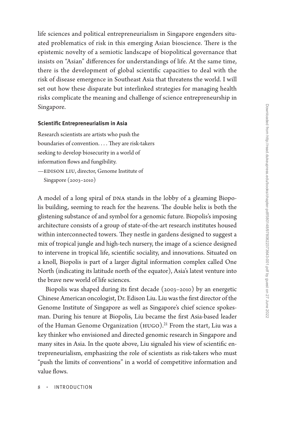life sciences and political entrepreneurialism in Singapore engenders situated problematics of risk in this emerging Asian bioscience. There is the epistemic novelty of a semiotic landscape of biopolitical governance that insists on "Asian" differences for understandings of life. At the same time, there is the development of global scientific capacities to deal with the risk of disease emergence in Southeast Asia that threatens the world. I will set out how these disparate but interlinked strategies for managing health risks complicate the meaning and challenge of science entrepreneurship in Singapore.

### **Scientific Entrepreneurialism in Asia**

Research scientists are artists who push the boundaries of convention. . . . They are risk-takers seeking to develop biosecurity in a world of information flows and fungibility. —edison liu, director, Genome Institute of Singapore (2003–2010)

A model of a long spiral of DNA stands in the lobby of a gleaming Biopolis building, seeming to reach for the heavens. The double helix is both the glistening substance of and symbol for a genomic future. Biopolis's imposing architecture consists of a group of state-of-the-art research institutes housed within interconnected towers. They nestle in gardens designed to suggest a mix of tropical jungle and high-tech nursery, the image of a science designed to intervene in tropical life, scientific sociality, and innovations. Situated on a knoll, Biopolis is part of a larger digital information complex called One North (indicating its latitude north of the equator), Asia's latest venture into the brave new world of life sciences.

Biopolis was shaped during its first decade (2003–2010) by an energetic Chinese American oncologist, Dr. Edison Liu. Liu was the first director of the Genome Institute of Singapore as well as Singapore's chief science spokesman. During his tenure at Biopolis, Liu became the first Asia-based leader of the Human Genome Organization (hugo).[21](#page--1-0) From the start, Liu was a key thinker who envisioned and directed genomic research in Singapore and many sites in Asia. In the quote above, Liu signaled his view of scientific entrepreneurialism, emphasizing the role of scientists as risk-takers who must "push the limits of conventions" in a world of competitive information and value flows.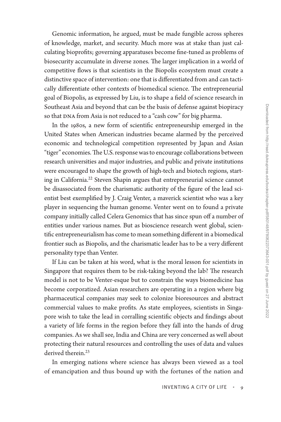Genomic information, he argued, must be made fungible across spheres of knowledge, market, and security. Much more was at stake than just calculating bioprofits; governing apparatuses become fine-tuned as problems of biosecurity accumulate in diverse zones. The larger implication in a world of competitive flows is that scientists in the Biopolis ecosystem must create a distinctive space of intervention: one that is differentiated from and can tactically differentiate other contexts of biomedical science. The entrepreneurial goal of Biopolis, as expressed by Liu, is to shape a field of science research in Southeast Asia and beyond that can be the basis of defense against biopiracy so that DNA from Asia is not reduced to a "cash cow" for big pharma.

In the 1980s, a new form of scientific entrepreneurship emerged in the United States when American industries became alarmed by the perceived economic and technological competition represented by Japan and Asian "tiger" economies. The U.S. response was to encourage collaborations between research universities and major industries, and public and private institutions were encouraged to shape the growth of high-tech and biotech regions, starting in California.[22](#page--1-0) Steven Shapin argues that entrepreneurial science cannot be disassociated from the charismatic authority of the figure of the lead scientist best exemplified by J. Craig Venter, a maverick scientist who was a key player in sequencing the human genome. Venter went on to found a private company initially called Celera Genomics that has since spun off a number of entities under various names. But as bioscience research went global, scientific entrepreneurialism has come to mean something diferent in a biomedical frontier such as Biopolis, and the charismatic leader has to be a very diferent personality type than Venter.

If Liu can be taken at his word, what is the moral lesson for scientists in Singapore that requires them to be risk-taking beyond the lab? The research model is not to be Venter-esque but to constrain the ways biomedicine has become corporatized. Asian researchers are operating in a region where big pharmaceutical companies may seek to colonize bioresources and abstract commercial values to make profits. As state employees, scientists in Singapore wish to take the lead in corralling scientific objects and findings about a variety of life forms in the region before they fall into the hands of drug companies. As we shall see, India and China are very concerned as well about protecting their natural resources and controlling the uses of data and values derived therein.<sup>23</sup>

In emerging nations where science has always been viewed as a tool of emancipation and thus bound up with the fortunes of the nation and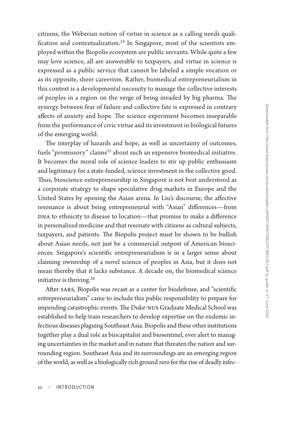citizens, the Weberian notion of virtue in science as a calling needs qualification and contextualization.<sup>24</sup> In Singapore, most of the scientists employed within the Biopolis ecosystem are public servants. While quite a few may love science, all are answerable to taxpayers, and virtue in science is expressed as a public service that cannot be labeled a simple vocation or as its opposite, sheer careerism. Rather, biomedical entrepreneurialism in this context is a developmental necessity to manage the collective interests of peoples in a region on the verge of being invaded by big pharma. The synergy between fear of failure and collective fate is expressed in contrary affects of anxiety and hope. The science experiment becomes inseparable from the performance of civic virtue and its investment in biological futures of the emerging world. The interplay of hazards and hope, as well as uncertainty of outcomes,

fuels "promissory" claims<sup>25</sup> about such an expensive biomedical initiative. It becomes the moral role of science leaders to stir up public enthusiasm and legitimacy for a state-funded, science investment in the collective good. Thus, bioscience entrepreneurship in Singapore is not best understood as a corporate strategy to shape speculative drug markets in Europe and the United States by opening the Asian arena. In Liu's discourse, the affective resonance is about being entrepreneurial with "Asian" differences—from DNA to ethnicity to disease to location—that promise to make a difference in personalized medicine and that resonate with citizens as cultural subjects, taxpayers, and patients. The Biopolis project must be shown to be bullish about Asian needs, not just be a commercial outpost of American biosciences. Singapore's scientific entrepreneurialism is in a larger sense about claiming ownership of a novel science of peoples in Asia, but it does not mean thereby that it lacks substance. A decade on, the biomedical science initiative is thriving.<sup>[26](#page--1-0)</sup>

After sars, Biopolis was recast as a center for biodefense, and "scientific entrepreneurialism" came to include this public responsibility to prepare for impending catastrophic events. The Duke-nus Graduate Medical School was established to help train researchers to develop expertise on the endemic infectious diseases plaguing Southeast Asia. Biopolis and these other institutions together play a dual role as biocapitalist and biosentinel, ever alert to managing uncertainties in the market and in nature that threaten the nation and surrounding region. Southeast Asia and its surroundings are an emerging region of the world, as well as a biologically rich ground zero for the rise of deadly infec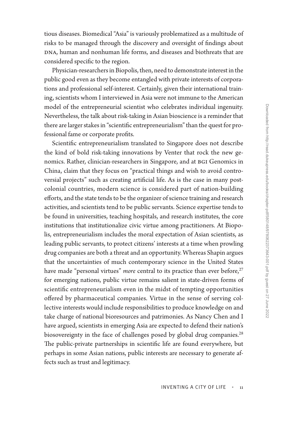tious diseases. Biomedical "Asia" is variously problematized as a multitude of risks to be managed through the discovery and oversight of findings about DNA, human and nonhuman life forms, and diseases and biothreats that are considered specific to the region.

Physician-researchers in Biopolis, then, need to demonstrate interest in the public good even as they become entangled with private interests of corporations and professional self-interest. Certainly, given their international training, scientists whom I interviewed in Asia were not immune to the American model of the entrepreneurial scientist who celebrates individual ingenuity. Nevertheless, the talk about risk-taking in Asian bioscience is a reminder that there are larger stakes in "scientific entrepreneurialism" than the quest for professional fame or corporate profits.

Scientific entrepreneurialism translated to Singapore does not describe the kind of bold risk-taking innovations by Venter that rock the new genomics. Rather, clinician-researchers in Singapore, and at BGI Genomics in China, claim that they focus on "practical things and wish to avoid controversial projects" such as creating artificial life. As is the case in many postcolonial countries, modern science is considered part of nation-building efforts, and the state tends to be the organizer of science training and research activities, and scientists tend to be public servants. Science expertise tends to be found in universities, teaching hospitals, and research institutes, the core institutions that institutionalize civic virtue among practitioners. At Biopolis, entrepreneurialism includes the moral expectation of Asian scientists, as leading public servants, to protect citizens' interests at a time when prowling drug companies are both a threat and an opportunity. Whereas Shapin argues that the uncertainties of much contemporary science in the United States have made "personal virtues" *more* central to its practice than ever before,<sup>[27](#page--1-0)</sup> for emerging nations, public virtue remains salient in state-driven forms of scientific entrepreneurialism even in the midst of tempting opportunities offered by pharmaceutical companies. Virtue in the sense of serving collective interests would include responsibilities to produce knowledge on and take charge of national bioresources and patrimonies. As Nancy Chen and I have argued, scientists in emerging Asia are expected to defend their nation's biosovereignty in the face of challenges posed by global drug companies.<sup>28</sup> The public-private partnerships in scientific life are found everywhere, but perhaps in some Asian nations, public interests are necessary to generate affects such as trust and legitimacy.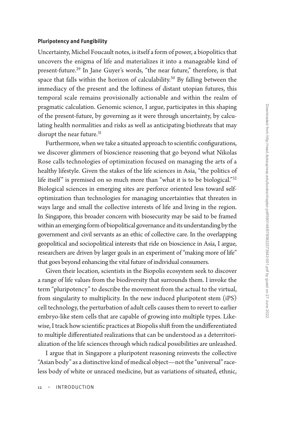#### **Pluripotency and Fungibility**

Uncertainty, Michel Foucault notes, is itself a form of power, a biopolitics that uncovers the enigma of life and materializes it into a manageable kind of present-future[.29](#page--1-0) In Jane Guyer's words, "the near future," therefore, is that space that falls within the horizon of calculability.<sup>30</sup> By falling between the immediacy of the present and the loftiness of distant utopian futures, this temporal scale remains provisionally actionable and within the realm of pragmatic calculation. Genomic science, I argue, participates in this shaping of the present-future, by governing as it were through uncertainty, by calculating health normalities and risks as well as anticipating biothreats that may disrupt the near future.<sup>31</sup>

Furthermore, when we take a situated approach to scientific configurations, we discover glimmers of bioscience reasoning that go beyond what Nikolas Rose calls technologies of optimization focused on managing the arts of a healthy lifestyle. Given the stakes of the life sciences in Asia, "the politics of life itself" is premised on so much more than "what it is to be biological.["32](#page--1-0) Biological sciences in emerging sites are perforce oriented less toward selfoptimization than technologies for managing uncertainties that threaten in ways large and small the collective interests of life and living in the region. In Singapore, this broader concern with biosecurity may be said to be framed within an emerging form of biopolitical governance and its understanding by the government and civil servants as an ethic of collective care. In the overlapping geopolitical and sociopolitical interests that ride on bioscience in Asia, I argue, researchers are driven by larger goals in an experiment of "making more of life" that goes beyond enhancing the vital future of individual consumers.

Given their location, scientists in the Biopolis ecosystem seek to discover a range of life values from the biodiversity that surrounds them. I invoke the term "pluripotency" to describe the movement from the actual to the virtual, from singularity to multiplicity. In the new induced pluripotent stem (iPS) cell technology, the perturbation of adult cells causes them to revert to earlier embryo-like stem cells that are capable of growing into multiple types. Likewise, I track how scientific practices at Biopolis shift from the undifferentiated to multiple differentiated realizations that can be understood as a deterritorialization of the life sciences through which radical possibilities are unleashed.

I argue that in Singapore a pluripotent reasoning reinvests the collective "Asian body" as a distinctive kind of medical object—not the "universal" raceless body of white or unraced medicine, but as variations of situated, ethnic,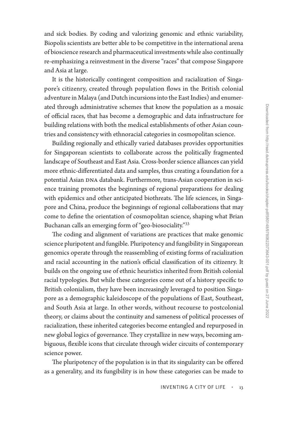and sick bodies. By coding and valorizing genomic and ethnic variability, Biopolis scientists are better able to be competitive in the international arena of bioscience research and pharmaceutical investments while also continually re-emphasizing a reinvestment in the diverse "races" that compose Singapore and Asia at large.

It is the historically contingent composition and racialization of Singapore's citizenry, created through population flows in the British colonial adventure in Malaya (and Dutch incursions into the East Indies) and enumerated through administrative schemes that know the population as a mosaic of official races, that has become a demographic and data infrastructure for building relations with both the medical establishments of other Asian countries and consistency with ethnoracial categories in cosmopolitan science.

Building regionally and ethically varied databases provides opportunities for Singaporean scientists to collaborate across the politically fragmented landscape of Southeast and East Asia. Cross-border science alliances can yield more ethnic-differentiated data and samples, thus creating a foundation for a potential Asian DNA databank. Furthermore, trans-Asian cooperation in science training promotes the beginnings of regional preparations for dealing with epidemics and other anticipated biothreats. The life sciences, in Singapore and China, produce the beginnings of regional collaborations that may come to define the orientation of cosmopolitan science, shaping what Brian Buchanan calls an emerging form of "geo-biosociality."[33](#page--1-0)

The coding and alignment of variations are practices that make genomic science pluripotent and fungible. Pluripotency and fungibility in Singaporean genomics operate through the reassembling of existing forms of racialization and racial accounting in the nation's official classification of its citizenry. It builds on the ongoing use of ethnic heuristics inherited from British colonial racial typologies. But while these categories come out of a history specific to British colonialism, they have been increasingly leveraged to position Singapore as a demographic kaleidoscope of the populations of East, Southeast, and South Asia at large. In other words, without recourse to postcolonial theory, or claims about the continuity and sameness of political processes of racialization, these inherited categories become entangled and repurposed in new global logics of governance. They crystallize in new ways, becoming ambiguous, flexible icons that circulate through wider circuits of contemporary science power.

The pluripotency of the population is in that its singularity can be offered as a generality, and its fungibility is in how these categories can be made to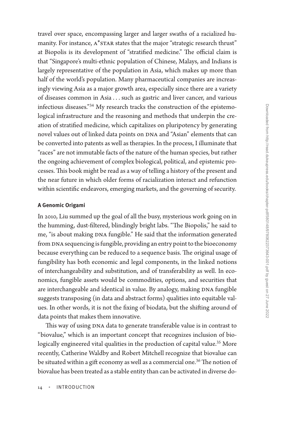travel over space, encompassing larger and larger swaths of a racialized humanity. For instance, A\*STAR states that the major "strategic research thrust" at Biopolis is its development of "stratified medicine." The official claim is that "Singapore's multi-ethnic population of Chinese, Malays, and Indians is largely representative of the population in Asia, which makes up more than half of the world's population. Many pharmaceutical companies are increasingly viewing Asia as a major growth area, especially since there are a variety of diseases common in Asia . . . such as gastric and liver cancer, and various infectious diseases."[34](#page--1-0) My research tracks the construction of the epistemological infrastructure and the reasoning and methods that underpin the creation of stratified medicine, which capitalizes on pluripotency by generating novel values out of linked data points on DNA and "Asian" elements that can be converted into patents as well as therapies. In the process, I illuminate that "races" are not immutable facts of the nature of the human species, but rather the ongoing achievement of complex biological, political, and epistemic processes. This book might be read as a way of telling a history of the present and the near future in which older forms of racialization interact and refunction within scientific endeavors, emerging markets, and the governing of security.

#### **A Genomic Origami**

In 2010, Liu summed up the goal of all the busy, mysterious work going on in the humming, dust-filtered, blindingly bright labs. "The Biopolis," he said to me, "is about making DNA fungible." He said that the information generated from DNA sequencing is fungible, providing an entry point to the bioeconomy because everything can be reduced to a sequence basis. The original usage of fungibility has both economic and legal components, in the linked notions of interchangeability and substitution, and of transferability as well. In economics, fungible assets would be commodities, options, and securities that are interchangeable and identical in value. By analogy, making DNA fungible suggests transposing (in data and abstract forms) qualities into equitable values. In other words, it is not the fixing of biodata, but the shifting around of data points that makes them innovative.

This way of using DNA data to generate transferable value is in contrast to "biovalue," which is an important concept that recognizes inclusion of biologically engineered vital qualities in the production of capital value.<sup>35</sup> More recently, Catherine Waldby and Robert Mitchell recognize that biovalue can be situated within a gift economy as well as a commercial one.<sup>36</sup> The notion of biovalue has been treated as a stable entity than can be activated in diverse do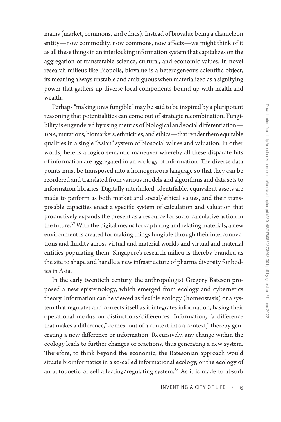mains (market, commons, and ethics). Instead of biovalue being a chameleon entity—now commodity, now commons, now affects—we might think of it as all these things in an interlocking information system that capitalizes on the aggregation of transferable science, cultural, and economic values. In novel research milieus like Biopolis, biovalue is a heterogeneous scientific object, its meaning always unstable and ambiguous when materialized as a signifying power that gathers up diverse local components bound up with health and wealth.

Perhaps "making DNA fungible" may be said to be inspired by a pluripotent reasoning that potentialities can come out of strategic recombination. Fungibility is engendered by using metrics of biological and social differentiation dna, mutations, biomarkers, ethnicities, and ethics—that render them equitable qualities in a single "Asian" system of biosocial values and valuation. In other words, here is a logico-semantic maneuver whereby all these disparate bits of information are aggregated in an ecology of information. The diverse data points must be transposed into a homogeneous language so that they can be reordered and translated from various models and algorithms and data sets to information libraries. Digitally interlinked, identifiable, equivalent assets are made to perform as both market and social/ethical values, and their transposable capacities enact a specific system of calculation and valuation that productively expands the present as a resource for socio-calculative action in the future[.37](#page--1-0) With the digital means for capturing and relating materials, a new environment is created for making things fungible through their interconnections and fluidity across virtual and material worlds and virtual and material entities populating them. Singapore's research milieu is thereby branded as the site to shape and handle a new infrastructure of pharma diversity for bodies in Asia.

In the early twentieth century, the anthropologist Gregory Bateson proposed a new epistemology, which emerged from ecology and cybernetics theory. Information can be viewed as flexible ecology (homeostasis) or a system that regulates and corrects itself as it integrates information, basing their operational modus on distinctions/differences. Information, "a difference that makes a difference," comes "out of a context into a context," thereby generating a new difference or information. Recursively, any change within the ecology leads to further changes or reactions, thus generating a new system. Therefore, to think beyond the economic, the Batesonian approach would situate bioinformatics in a so-called informational ecology, or the ecology of an autopoetic or self-affecting/regulating system.<sup>38</sup> As it is made to absorb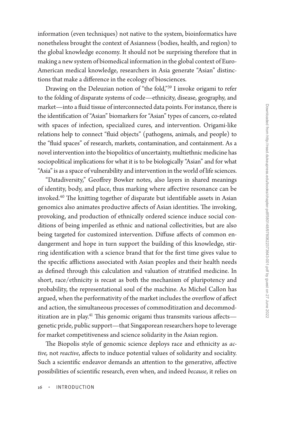information (even techniques) not native to the system, bioinformatics have nonetheless brought the context of Asianness (bodies, health, and region) to the global knowledge economy. It should not be surprising therefore that in making a new system of biomedical information in the global context of Euro-American medical knowledge, researchers in Asia generate "Asian" distinctions that make a difference in the ecology of biosciences. Drawing on the Deleuzian notion of "the fold,"[39](#page--1-0) I invoke origami to refer

to the folding of disparate systems of code—ethnicity, disease, geography, and market—into a fluid tissue of interconnected data points. For instance, there is the identification of "Asian" biomarkers for "Asian" types of cancers, co-related with spaces of infection, specialized cures, and intervention. Origami-like relations help to connect "fluid objects" (pathogens, animals, and people) to the "fluid spaces" of research, markets, contamination, and containment. As a novel intervention into the biopolitics of uncertainty, multiethnic medicine has sociopolitical implications for what it is to be biologically "Asian" and for what "Asia" is as a space of vulnerability and intervention in the world of life sciences.

"Datadiversity," Geoffrey Bowker notes, also layers in shared meanings of identity, body, and place, thus marking where affective resonance can be invoked[.40](#page--1-0) The knitting together of disparate but identifiable assets in Asian genomics also animates productive affects of Asian identities. The invoking, provoking, and production of ethnically ordered science induce social conditions of being imperiled as ethnic and national collectivities, but are also being targeted for customized intervention. Diffuse affects of common endangerment and hope in turn support the building of this knowledge, stirring identification with a science brand that for the first time gives value to the specific afflictions associated with Asian peoples and their health needs as defined through this calculation and valuation of stratified medicine. In short, race/ethnicity is recast as both the mechanism of pluripotency and probability, the representational soul of the machine. As Michel Callon has argued, when the performativity of the market includes the overflow of affect and action, the simultaneous processes of commoditization and decommoditization are in play.<sup>41</sup> This genomic origami thus transmits various affectsgenetic pride, public support—that Singaporean researchers hope to leverage for market competitiveness and science solidarity in the Asian region.

The Biopolis style of genomic science deploys race and ethnicity as *active,* not *reactive*, affects to induce potential values of solidarity and sociality. Such a scientific endeavor demands an attention to the generative, affective possibilities of scientific research, even when, and indeed *because*, it relies on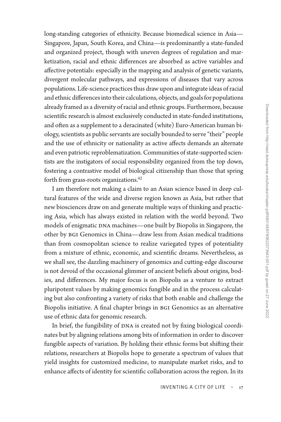long-standing categories of ethnicity. Because biomedical science in Asia— Singapore, Japan, South Korea, and China—is predominantly a state-funded and organized project, though with uneven degrees of regulation and marketization, racial and ethnic differences are absorbed as active variables and affective potentials: especially in the mapping and analysis of genetic variants, divergent molecular pathways, and expressions of diseases that vary across populations. Life-science practices thus draw upon and integrate ideas of racial and ethnic differences into their calculations, objects, and goals for populations already framed as a diversity of racial and ethnic groups. Furthermore, because scientific research is almost exclusively conducted in state-funded institutions, and often as a supplement to a deracinated (white) Euro-American human biology, scientists as public servants are socially bounded to serve "their" people and the use of ethnicity or nationality as active affects demands an alternate and even patriotic reproblematization. Communities of state-supported scientists are the instigators of social responsibility organized from the top down, fostering a contrastive model of biological citizenship than those that spring forth from grass-roots organizations.<sup>42</sup>

I am therefore not making a claim to an Asian science based in deep cultural features of the wide and diverse region known as Asia, but rather that new biosciences draw on and generate multiple ways of thinking and practicing Asia, which has always existed in relation with the world beyond. Two models of enigmatic DNA machines—one built by Biopolis in Singapore, the other by bgi Genomics in China—draw less from Asian medical traditions than from cosmopolitan science to realize variegated types of potentiality from a mixture of ethnic, economic, and scientific dreams. Nevertheless, as we shall see, the dazzling machinery of genomics and cutting-edge discourse is not devoid of the occasional glimmer of ancient beliefs about origins, bodies, and differences. My major focus is on Biopolis as a venture to extract pluripotent values by making genomics fungible and in the process calculating but also confronting a variety of risks that both enable and challenge the Biopolis initiative. A final chapter brings in BGI Genomics as an alternative use of ethnic data for genomic research.

In brief, the fungibility of DNA is created not by fixing biological coordinates but by aligning relations among bits of information in order to discover fungible aspects of variation. By holding their ethnic forms but shifting their relations, researchers at Biopolis hope to generate a spectrum of values that yield insights for customized medicine, to manipulate market risks, and to enhance affects of identity for scientific collaboration across the region. In its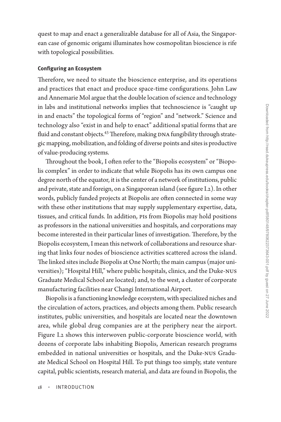quest to map and enact a generalizable database for all of Asia, the Singaporean case of genomic origami illuminates how cosmopolitan bioscience is rife with topological possibilities.

# **Configuring an Ecosystem**

Therefore, we need to situate the bioscience enterprise, and its operations and practices that enact and produce space-time configurations. John Law and Annemarie Mol argue that the double location of science and technology in labs and institutional networks implies that technoscience is "caught up in and enacts" the topological forms of "region" and "network." Science and technology also "exist in and help to enact" additional spatial forms that are fluid and constant objects.<sup>43</sup> Therefore, making DNA fungibility through strategic mapping, mobilization, and folding of diverse points and sites is productive of value-producing systems.

Throughout the book, I often refer to the "Biopolis ecosystem" or "Biopolis complex" in order to indicate that while Biopolis has its own campus one degree north of the equator, it is the center of a network of institutions, public and private, state and foreign, on a Singaporean island (see [figure I.2\)](#page-18-0). In other words, publicly funded projects at Biopolis are often connected in some way with these other institutions that may supply supplementary expertise, data, tissues, and critical funds. In addition, pis from Biopolis may hold positions as professors in the national universities and hospitals, and corporations may become interested in their particular lines of investigation. Therefore, by the Biopolis ecosystem, I mean this network of collaborations and resource sharing that links four nodes of bioscience activities scattered across the island. The linked sites include Biopolis at One North; the main campus (major universities); "Hospital Hill," where public hospitals, clinics, and the Duke-nus Graduate Medical School are located; and, to the west, a cluster of corporate manufacturing facilities near Changi International Airport.

Biopolis is a functioning knowledge ecosystem, with specialized niches and the circulation of actors, practices, and objects among them. Public research institutes, public universities, and hospitals are located near the downtown area, while global drug companies are at the periphery near the airport. Figure I.2 shows this interwoven public-corporate bioscience world, with dozens of corporate labs inhabiting Biopolis, American research programs embedded in national universities or hospitals, and the Duke-nus Graduate Medical School on Hospital Hill. To put things too simply, state venture capital, public scientists, research material, and data are found in Biopolis, the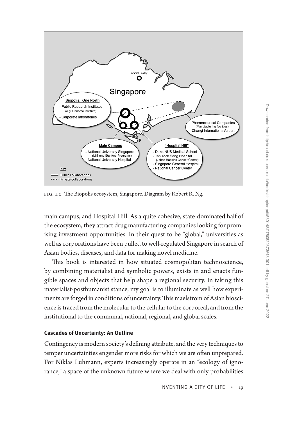<span id="page-18-0"></span>

Fig. I.2 The Biopolis ecosystem, Singapore. Diagram by Robert R. Ng.

main campus, and Hospital Hill. As a quite cohesive, state-dominated half of the ecosystem, they attract drug manufacturing companies looking for promising investment opportunities. In their quest to be "global," universities as well as corporations have been pulled to well-regulated Singapore in search of Asian bodies, diseases, and data for making novel medicine.

This book is interested in how situated cosmopolitan technoscience, by combining materialist and symbolic powers, exists in and enacts fungible spaces and objects that help shape a regional security. In taking this materialist-posthumanist stance, my goal is to illuminate as well how experiments are forged in conditions of uncertainty. This maelstrom of Asian bioscience is traced from the molecular to the cellular to the corporeal, and from the institutional to the communal, national, regional, and global scales.

# **Cascades of Uncertainty: An Outline**

Contingency is modern society's defining attribute, and the very techniques to temper uncertainties engender more risks for which we are often unprepared. For Niklas Luhmann, experts increasingly operate in an "ecology of ignorance," a space of the unknown future where we deal with only probabilities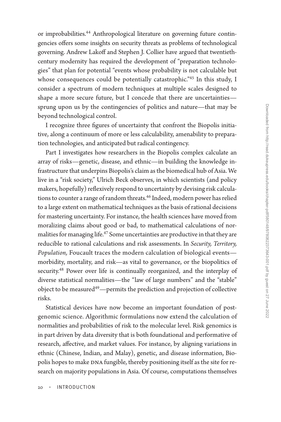or improbabilities.<sup>44</sup> Anthropological literature on governing future contingencies offers some insights on security threats as problems of technological governing. Andrew Lakoff and Stephen J. Collier have argued that twentiethcentury modernity has required the development of "preparation technologies" that plan for potential "events whose probability is not calculable but whose consequences could be potentially catastrophic."<sup>[45](#page--1-0)</sup> In this study, I consider a spectrum of modern techniques at multiple scales designed to shape a more secure future, but I concede that there are uncertainties sprung upon us by the contingencies of politics and nature—that may be beyond technological control.

I recognize three figures of uncertainty that confront the Biopolis initiative, along a continuum of more or less calculability, amenability to preparation technologies, and anticipated but radical contingency.

Part I investigates how researchers in the Biopolis complex calculate an array of risks—genetic, disease, and ethnic—in building the knowledge infrastructure that underpins Biopolis's claim as the biomedical hub of Asia. We live in a "risk society," Ulrich Beck observes, in which scientists (and policy makers, hopefully) reflexively respond to uncertainty by devising risk calculations to counter a range of random threats[.46](#page--1-0) Indeed, modern power has relied to a large extent on mathematical techniques as the basis of rational decisions for mastering uncertainty. For instance, the health sciences have moved from moralizing claims about good or bad, to mathematical calculations of normalities for managing life.<sup>47</sup> Some uncertainties are productive in that they are reducible to rational calculations and risk assessments. In *Security, Territory, Population,* Foucault traces the modern calculation of biological events morbidity, mortality, and risk—as vital to governance, or the biopolitics of security[.48](#page--1-0) Power over life is continually reorganized, and the interplay of diverse statistical normalities—the "law of large numbers" and the "stable" object to be measured<sup>49</sup>—permits the prediction and projection of collective risks.

Statistical devices have now become an important foundation of postgenomic science. Algorithmic formulations now extend the calculation of normalities and probabilities of risk to the molecular level. Risk genomics is in part driven by data diversity that is both foundational and performative of research, affective, and market values. For instance, by aligning variations in ethnic (Chinese, Indian, and Malay), genetic, and disease information, Biopolis hopes to make DNA fungible, thereby positioning itself as the site for research on majority populations in Asia. Of course, computations themselves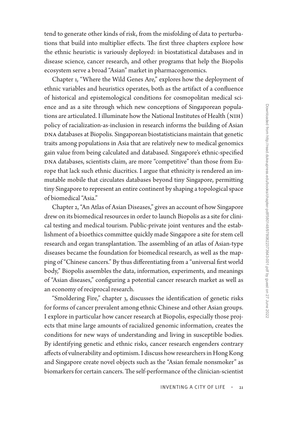tend to generate other kinds of risk, from the misfolding of data to perturbations that build into multiplier effects. The first three chapters explore how the ethnic heuristic is variously deployed: in biostatistical databases and in disease science, cancer research, and other programs that help the Biopolis ecosystem serve a broad "Asian" market in pharmacogenomics.

Chapter 1, "Where the Wild Genes Are," explores how the deployment of ethnic variables and heuristics operates, both as the artifact of a confluence of historical and epistemological conditions for cosmopolitan medical science and as a site through which new conceptions of Singaporean populations are articulated. I illuminate how the National Institutes of Health (nih) policy of racialization-as-inclusion in research informs the building of Asian DNA databases at Biopolis. Singaporean biostatisticians maintain that genetic traits among populations in Asia that are relatively new to medical genomics gain value from being calculated and databased. Singapore's ethnic-specified DNA databases, scientists claim, are more "competitive" than those from Europe that lack such ethnic diacritics. I argue that ethnicity is rendered an immutable mobile that circulates databases beyond tiny Singapore, permitting tiny Singapore to represent an entire continent by shaping a topological space of biomedical "Asia."

Chapter 2, "An Atlas of Asian Diseases," gives an account of how Singapore drew on its biomedical resources in order to launch Biopolis as a site for clinical testing and medical tourism. Public-private joint ventures and the establishment of a bioethics committee quickly made Singapore a site for stem cell research and organ transplantation. The assembling of an atlas of Asian-type diseases became the foundation for biomedical research, as well as the mapping of "Chinese cancers." By thus differentiating from a "universal first world body," Biopolis assembles the data, information, experiments, and meanings of "Asian diseases," configuring a potential cancer research market as well as an economy of reciprocal research.

"Smoldering Fire," chapter 3, discusses the identification of genetic risks for forms of cancer prevalent among ethnic Chinese and other Asian groups. I explore in particular how cancer research at Biopolis, especially those projects that mine large amounts of racialized genomic information, creates the conditions for new ways of understanding and living in susceptible bodies. By identifying genetic and ethnic risks, cancer research engenders contrary affects of vulnerability and optimism. I discuss how researchers in Hong Kong and Singapore create novel objects such as the "Asian female nonsmoker" as biomarkers for certain cancers. The self-performance of the clinician-scientist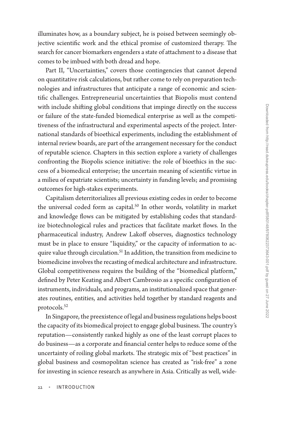illuminates how, as a boundary subject, he is poised between seemingly objective scientific work and the ethical promise of customized therapy. The search for cancer biomarkers engenders a state of attachment to a disease that comes to be imbued with both dread and hope.

Part II, "Uncertainties," covers those contingencies that cannot depend on quantitative risk calculations, but rather come to rely on preparation technologies and infrastructures that anticipate a range of economic and scientific challenges. Entrepreneurial uncertainties that Biopolis must contend with include shifting global conditions that impinge directly on the success or failure of the state-funded biomedical enterprise as well as the competitiveness of the infrastructural and experimental aspects of the project. International standards of bioethical experiments, including the establishment of internal review boards, are part of the arrangement necessary for the conduct of reputable science. Chapters in this section explore a variety of challenges confronting the Biopolis science initiative: the role of bioethics in the success of a biomedical enterprise; the uncertain meaning of scientific virtue in a milieu of expatriate scientists; uncertainty in funding levels; and promising outcomes for high-stakes experiments.

Capitalism deterritorializes all previous existing codes in order to become the universal coded form as capital.<sup>[50](#page--1-0)</sup> In other words, volatility in market and knowledge flows can be mitigated by establishing codes that standardize biotechnological rules and practices that facilitate market flows. In the pharmaceutical industry, Andrew Lakoff observes, diagnostics technology must be in place to ensure "liquidity," or the capacity of information to acquire value through circulation.<sup>51</sup> In addition, the transition from medicine to biomedicine involves the recasting of medical architecture and infrastructure. Global competitiveness requires the building of the "biomedical platform," defined by Peter Keating and Albert Cambrosio as a specific configuration of instruments, individuals, and programs, an institutionalized space that generates routines, entities, and activities held together by standard reagents and protocols[.52](#page--1-0)

In Singapore, the preexistence of legal and business regulations helps boost the capacity of its biomedical project to engage global business. The country's reputation—consistently ranked highly as one of the least corrupt places to do business—as a corporate and financial center helps to reduce some of the uncertainty of roiling global markets. The strategic mix of "best practices" in global business and cosmopolitan science has created as "risk-free" a zone for investing in science research as anywhere in Asia. Critically as well, wide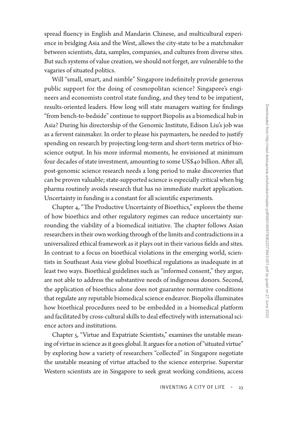spread fluency in English and Mandarin Chinese, and multicultural experience in bridging Asia and the West, allows the city-state to be a matchmaker between scientists, data, samples, companies, and cultures from diverse sites. But such systems of value creation, we should not forget, are vulnerable to the vagaries of situated politics.

Will "small, smart, and nimble" Singapore indefinitely provide generous public support for the doing of cosmopolitan science? Singapore's engineers and economists control state funding, and they tend to be impatient, results-oriented leaders. How long will state managers waiting for findings "from bench-to-bedside" continue to support Biopolis as a biomedical hub in Asia? During his directorship of the Genomic Institute, Edison Liu's job was as a fervent rainmaker. In order to please his paymasters, he needed to justify spending on research by projecting long-term and short-term metrics of bioscience output. In his more informal moments, he envisioned at minimum four decades of state investment, amounting to some US\$40 billion. After all, post-genomic science research needs a long period to make discoveries that can be proven valuable; state-supported science is especially critical when big pharma routinely avoids research that has no immediate market application. Uncertainty in funding is a constant for all scientific experiments.

Chapter 4, "The Productive Uncertainty of Bioethics," explores the theme of how bioethics and other regulatory regimes can reduce uncertainty surrounding the viability of a biomedical initiative. The chapter follows Asian researchers in their own working through of the limits and contradictions in a universalized ethical framework as it plays out in their various fields and sites. In contrast to a focus on bioethical violations in the emerging world, scientists in Southeast Asia view global bioethical regulations as inadequate in at least two ways. Bioethical guidelines such as "informed consent," they argue, are not able to address the substantive needs of indigenous donors. Second, the application of bioethics alone does not guarantee normative conditions that regulate any reputable biomedical science endeavor. Biopolis illuminates how bioethical procedures need to be embedded in a biomedical platform and facilitated by cross-cultural skills to deal effectively with international science actors and institutions.

Chapter 5, "Virtue and Expatriate Scientists," examines the unstable meaning of virtue in science as it goes global. It argues for a notion of "situated virtue" by exploring how a variety of researchers "collected" in Singapore negotiate the unstable meaning of virtue attached to the science enterprise. Superstar Western scientists are in Singapore to seek great working conditions, access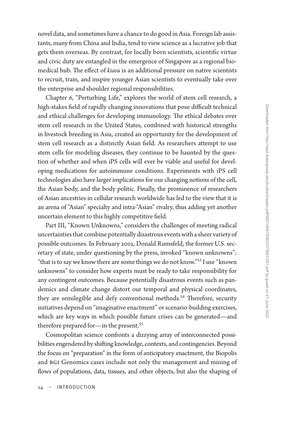novel data, and sometimes have a chance to do good in Asia. Foreign lab assistants, many from China and India, tend to view science as a lucrative job that gets them overseas. By contrast, for locally born scientists, scientific virtue and civic duty are entangled in the emergence of Singapore as a regional biomedical hub. The effect of *kiasu* is an additional pressure on native scientists to recruit, train, and inspire younger Asian scientists to eventually take over the enterprise and shoulder regional responsibilities.

Chapter 6, "Perturbing Life," explores the world of stem cell research, a high-stakes field of rapidly changing innovations that pose difficult technical and ethical challenges for developing immunology. The ethical debates over stem cell research in the United States, combined with historical strengths in livestock breeding in Asia, created an opportunity for the development of stem cell research as a distinctly Asian field. As researchers attempt to use stem cells for modeling diseases, they continue to be haunted by the question of whether and when iPS cells will ever be viable and useful for developing medications for autoimmune conditions. Experiments with iPS cell technologies also have larger implications for our changing notions of the cell, the Asian body, and the body politic. Finally, the prominence of researchers of Asian ancestries in cellular research worldwide has led to the view that it is an arena of "Asian" specialty and intra-"Asian" rivalry, thus adding yet another uncertain element to this highly competitive field.

Part III, "Known Unknowns," considers the challenges of meeting radical uncertainties that combine potentially disastrous events with a sheer variety of possible outcomes. In February 2002, Donald Rumsfeld, the former U.S. secretary of state, under questioning by the press, invoked "known unknowns": "that is to say we know there are some things we do not know.["53](#page--1-0) I use "known unknowns" to consider how experts must be ready to take responsibility for any contingent outcomes. Because potentially disastrous events such as pandemics and climate change distort our temporal and physical coordinates, they are semilegible and defy conventional methods.<sup>54</sup> Therefore, security initiatives depend on "imaginative enactment" or scenario-building exercises, which are key ways in which possible future crises can be generated—and therefore prepared for—in the present.<sup>[55](#page--1-0)</sup>

Cosmopolitan science confronts a dizzying array of interconnected possibilities engendered by shifting knowledge, contexts, and contingencies. Beyond the focus on "preparation" in the form of anticipatory enactment, the Biopolis and BGI Genomics cases include not only the management and mining of flows of populations, data, tissues, and other objects, but also the shaping of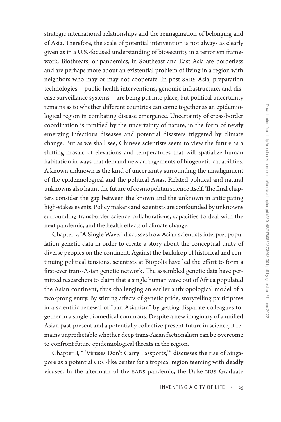strategic international relationships and the reimagination of belonging and of Asia. Therefore, the scale of potential intervention is not always as clearly given as in a U.S.-focused understanding of biosecurity in a terrorism framework. Biothreats, or pandemics, in Southeast and East Asia are borderless and are perhaps more about an existential problem of living in a region with neighbors who may or may not cooperate. In post-sars Asia, preparation technologies—public health interventions, genomic infrastructure, and disease surveillance systems—are being put into place, but political uncertainty remains as to whether diferent countries can come together as an epidemiological region in combating disease emergence. Uncertainty of cross-border coordination is ramified by the uncertainty of nature, in the form of newly emerging infectious diseases and potential disasters triggered by climate change. But as we shall see, Chinese scientists seem to view the future as a shifting mosaic of elevations and temperatures that will spatialize human habitation in ways that demand new arrangements of biogenetic capabilities. A known unknown is the kind of uncertainty surrounding the misalignment of the epidemiological and the political Asias. Related political and natural unknowns also haunt the future of cosmopolitan science itself. The final chapters consider the gap between the known and the unknown in anticipating high-stakes events. Policy makers and scientists are confounded by unknowns surrounding transborder science collaborations, capacities to deal with the next pandemic, and the health effects of climate change.

Chapter 7, "A Single Wave," discusses how Asian scientists interpret population genetic data in order to create a story about the conceptual unity of diverse peoples on the continent. Against the backdrop of historical and continuing political tensions, scientists at Biopolis have led the effort to form a first-ever trans-Asian genetic network. The assembled genetic data have permitted researchers to claim that a single human wave out of Africa populated the Asian continent, thus challenging an earlier anthropological model of a two-prong entry. By stirring affects of genetic pride, storytelling participates in a scientific renewal of "pan-Asianism" by getting disparate colleagues together in a single biomedical commons. Despite a new imaginary of a unified Asian past-present and a potentially collective present-future in science, it remains unpredictable whether deep trans-Asian factionalism can be overcome to confront future epidemiological threats in the region.

Chapter 8, "'Viruses Don't Carry Passports,'" discusses the rise of Singapore as a potential CDC-like center for a tropical region teeming with deadly viruses. In the aftermath of the sars pandemic, the Duke-nus Graduate